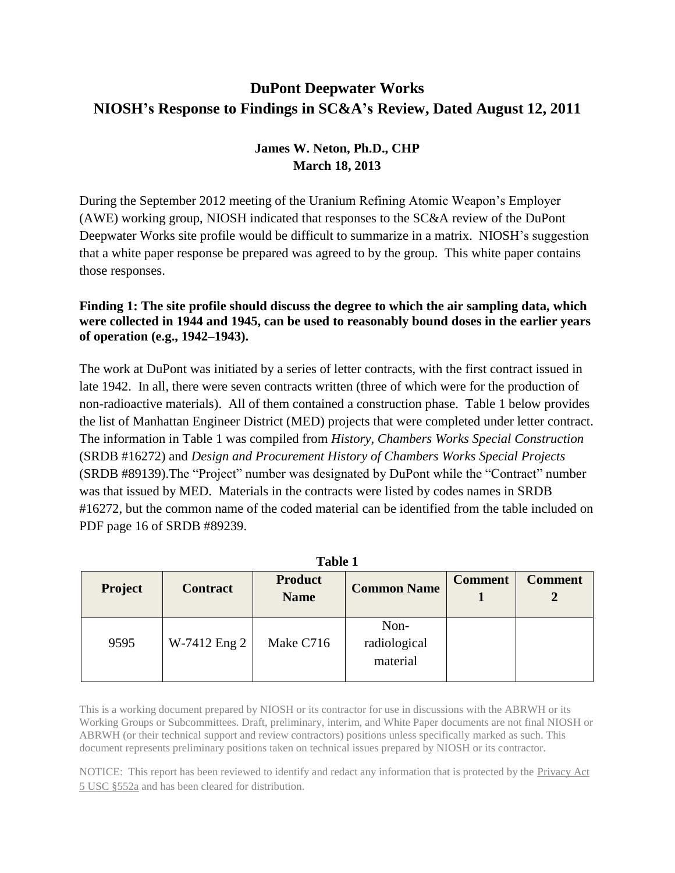# **DuPont Deepwater Works NIOSH's Response to Findings in SC&A's Review, Dated August 12, 2011**

## **James W. Neton, Ph.D., CHP March 18, 2013**

During the September 2012 meeting of the Uranium Refining Atomic Weapon's Employer (AWE) working group, NIOSH indicated that responses to the SC&A review of the DuPont Deepwater Works site profile would be difficult to summarize in a matrix. NIOSH's suggestion that a white paper response be prepared was agreed to by the group. This white paper contains those responses.

## **Finding 1: The site profile should discuss the degree to which the air sampling data, which were collected in 1944 and 1945, can be used to reasonably bound doses in the earlier years of operation (e.g., 1942–1943).**

The work at DuPont was initiated by a series of letter contracts, with the first contract issued in late 1942. In all, there were seven contracts written (three of which were for the production of non-radioactive materials). All of them contained a construction phase. Table 1 below provides the list of Manhattan Engineer District (MED) projects that were completed under letter contract. The information in Table 1 was compiled from *History, Chambers Works Special Construction*  (SRDB #16272) and *Design and Procurement History of Chambers Works Special Projects* (SRDB #89139).The "Project" number was designated by DuPont while the "Contract" number was that issued by MED. Materials in the contracts were listed by codes names in SRDB #16272, but the common name of the coded material can be identified from the table included on PDF page 16 of SRDB #89239.

| таніс т        |                 |                               |                                  |                |                |  |  |  |
|----------------|-----------------|-------------------------------|----------------------------------|----------------|----------------|--|--|--|
| <b>Project</b> | <b>Contract</b> | <b>Product</b><br><b>Name</b> | <b>Common Name</b>               | <b>Comment</b> | <b>Comment</b> |  |  |  |
| 9595           | W-7412 Eng 2    | Make C716                     | Non-<br>radiological<br>material |                |                |  |  |  |

**Table 1**

This is a working document prepared by NIOSH or its contractor for use in discussions with the ABRWH or its Working Groups or Subcommittees. Draft, preliminary, interim, and White Paper documents are not final NIOSH or ABRWH (or their technical support and review contractors) positions unless specifically marked as such. This document represents preliminary positions taken on technical issues prepared by NIOSH or its contractor.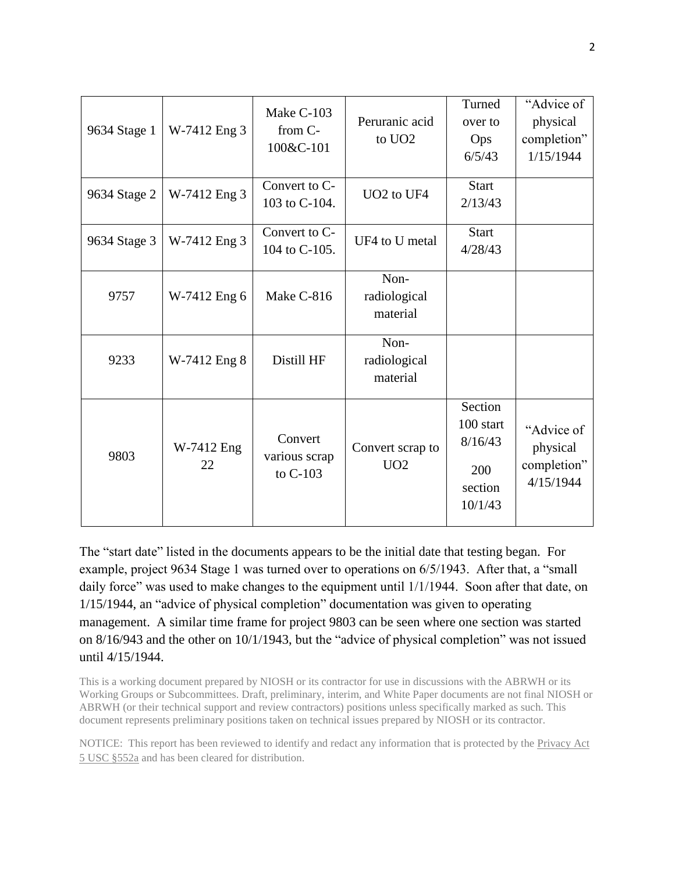| 9634 Stage 1 | W-7412 Eng 3     | Make C-103<br>from C-<br>100&C-101     | Peruranic acid<br>to UO <sub>2</sub> | Turned<br>over to<br>Ops<br>6/5/43                           | "Advice of<br>physical<br>completion"<br>1/15/1944 |
|--------------|------------------|----------------------------------------|--------------------------------------|--------------------------------------------------------------|----------------------------------------------------|
| 9634 Stage 2 | W-7412 Eng 3     | Convert to C-<br>103 to C-104.         | UO <sub>2</sub> to UF <sub>4</sub>   | <b>Start</b><br>2/13/43                                      |                                                    |
| 9634 Stage 3 | W-7412 Eng 3     | Convert to C-<br>104 to C-105.         | UF4 to U metal                       | <b>Start</b><br>4/28/43                                      |                                                    |
| 9757         | W-7412 Eng 6     | Make C-816                             | Non-<br>radiological<br>material     |                                                              |                                                    |
| 9233         | W-7412 Eng 8     | Distill HF                             | Non-<br>radiological<br>material     |                                                              |                                                    |
| 9803         | W-7412 Eng<br>22 | Convert<br>various scrap<br>to $C-103$ | Convert scrap to<br>UO2              | Section<br>100 start<br>8/16/43<br>200<br>section<br>10/1/43 | "Advice of<br>physical<br>completion"<br>4/15/1944 |

The "start date" listed in the documents appears to be the initial date that testing began. For example, project 9634 Stage 1 was turned over to operations on 6/5/1943. After that, a "small daily force" was used to make changes to the equipment until  $1/1/1944$ . Soon after that date, on 1/15/1944, an "advice of physical completion" documentation was given to operating management. A similar time frame for project 9803 can be seen where one section was started on 8/16/943 and the other on 10/1/1943, but the "advice of physical completion" was not issued until 4/15/1944.

This is a working document prepared by NIOSH or its contractor for use in discussions with the ABRWH or its Working Groups or Subcommittees. Draft, preliminary, interim, and White Paper documents are not final NIOSH or ABRWH (or their technical support and review contractors) positions unless specifically marked as such. This document represents preliminary positions taken on technical issues prepared by NIOSH or its contractor.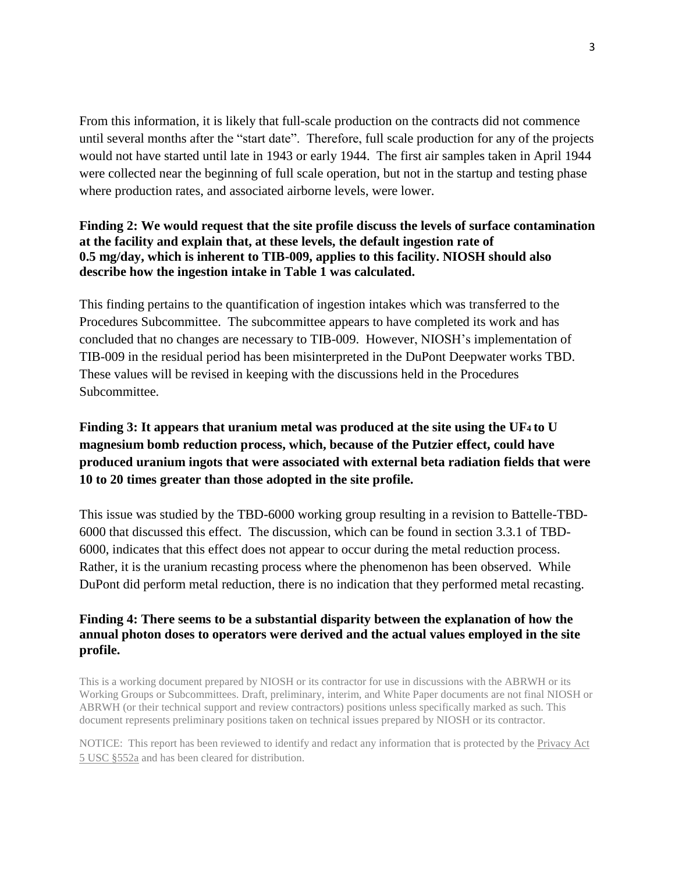From this information, it is likely that full-scale production on the contracts did not commence until several months after the "start date". Therefore, full scale production for any of the projects would not have started until late in 1943 or early 1944. The first air samples taken in April 1944 were collected near the beginning of full scale operation, but not in the startup and testing phase where production rates, and associated airborne levels, were lower.

## **Finding 2: We would request that the site profile discuss the levels of surface contamination at the facility and explain that, at these levels, the default ingestion rate of 0.5 mg/day, which is inherent to TIB-009, applies to this facility. NIOSH should also describe how the ingestion intake in Table 1 was calculated.**

This finding pertains to the quantification of ingestion intakes which was transferred to the Procedures Subcommittee. The subcommittee appears to have completed its work and has concluded that no changes are necessary to TIB-009. However, NIOSH's implementation of TIB-009 in the residual period has been misinterpreted in the DuPont Deepwater works TBD. These values will be revised in keeping with the discussions held in the Procedures Subcommittee.

# **Finding 3: It appears that uranium metal was produced at the site using the UF4 to U magnesium bomb reduction process, which, because of the Putzier effect, could have produced uranium ingots that were associated with external beta radiation fields that were 10 to 20 times greater than those adopted in the site profile.**

This issue was studied by the TBD-6000 working group resulting in a revision to Battelle-TBD-6000 that discussed this effect. The discussion, which can be found in section 3.3.1 of TBD-6000, indicates that this effect does not appear to occur during the metal reduction process. Rather, it is the uranium recasting process where the phenomenon has been observed. While DuPont did perform metal reduction, there is no indication that they performed metal recasting.

## **Finding 4: There seems to be a substantial disparity between the explanation of how the annual photon doses to operators were derived and the actual values employed in the site profile.**

This is a working document prepared by NIOSH or its contractor for use in discussions with the ABRWH or its Working Groups or Subcommittees. Draft, preliminary, interim, and White Paper documents are not final NIOSH or ABRWH (or their technical support and review contractors) positions unless specifically marked as such. This document represents preliminary positions taken on technical issues prepared by NIOSH or its contractor.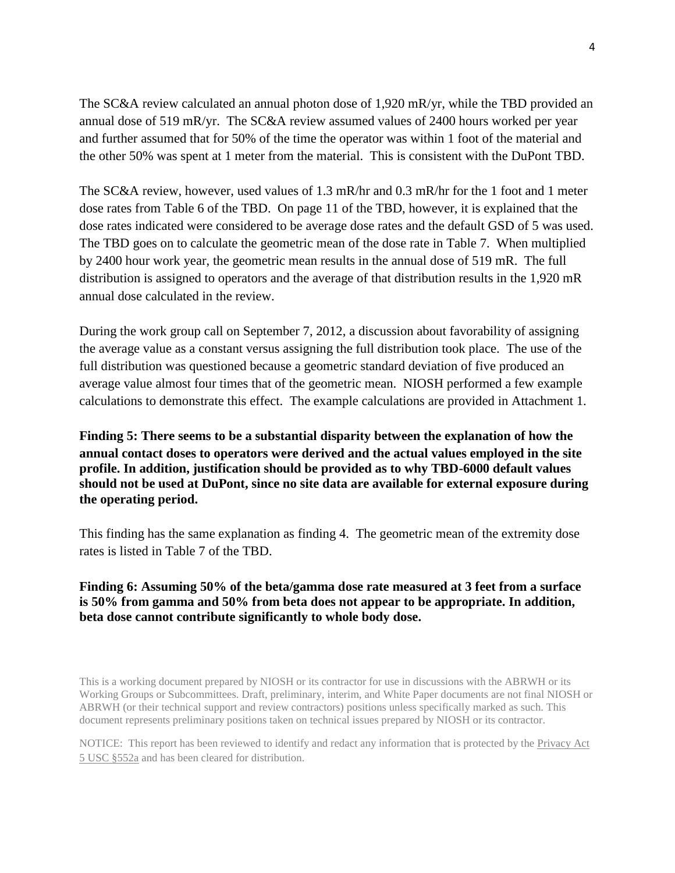The SC&A review calculated an annual photon dose of 1,920 mR/yr, while the TBD provided an annual dose of 519 mR/yr. The SC&A review assumed values of 2400 hours worked per year and further assumed that for 50% of the time the operator was within 1 foot of the material and the other 50% was spent at 1 meter from the material. This is consistent with the DuPont TBD.

The SC&A review, however, used values of 1.3 mR/hr and 0.3 mR/hr for the 1 foot and 1 meter dose rates from Table 6 of the TBD. On page 11 of the TBD, however, it is explained that the dose rates indicated were considered to be average dose rates and the default GSD of 5 was used. The TBD goes on to calculate the geometric mean of the dose rate in Table 7. When multiplied by 2400 hour work year, the geometric mean results in the annual dose of 519 mR. The full distribution is assigned to operators and the average of that distribution results in the 1,920 mR annual dose calculated in the review.

During the work group call on September 7, 2012, a discussion about favorability of assigning the average value as a constant versus assigning the full distribution took place. The use of the full distribution was questioned because a geometric standard deviation of five produced an average value almost four times that of the geometric mean. NIOSH performed a few example calculations to demonstrate this effect. The example calculations are provided in Attachment 1.

**Finding 5: There seems to be a substantial disparity between the explanation of how the annual contact doses to operators were derived and the actual values employed in the site profile. In addition, justification should be provided as to why TBD-6000 default values should not be used at DuPont, since no site data are available for external exposure during the operating period.**

This finding has the same explanation as finding 4. The geometric mean of the extremity dose rates is listed in Table 7 of the TBD.

#### **Finding 6: Assuming 50% of the beta/gamma dose rate measured at 3 feet from a surface is 50% from gamma and 50% from beta does not appear to be appropriate. In addition, beta dose cannot contribute significantly to whole body dose.**

This is a working document prepared by NIOSH or its contractor for use in discussions with the ABRWH or its Working Groups or Subcommittees. Draft, preliminary, interim, and White Paper documents are not final NIOSH or ABRWH (or their technical support and review contractors) positions unless specifically marked as such. This document represents preliminary positions taken on technical issues prepared by NIOSH or its contractor.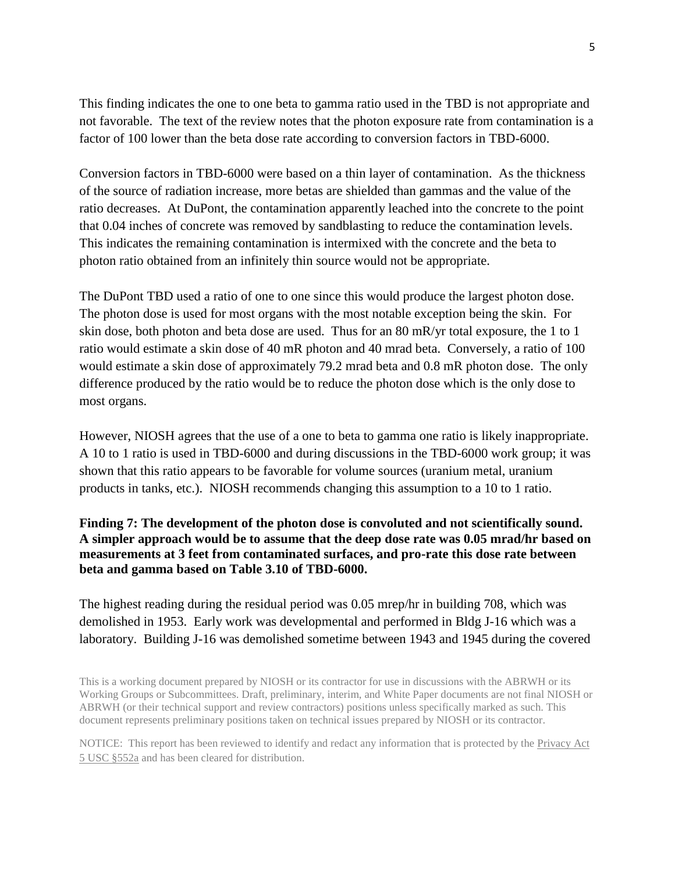This finding indicates the one to one beta to gamma ratio used in the TBD is not appropriate and not favorable. The text of the review notes that the photon exposure rate from contamination is a factor of 100 lower than the beta dose rate according to conversion factors in TBD-6000.

Conversion factors in TBD-6000 were based on a thin layer of contamination. As the thickness of the source of radiation increase, more betas are shielded than gammas and the value of the ratio decreases. At DuPont, the contamination apparently leached into the concrete to the point that 0.04 inches of concrete was removed by sandblasting to reduce the contamination levels. This indicates the remaining contamination is intermixed with the concrete and the beta to photon ratio obtained from an infinitely thin source would not be appropriate.

The DuPont TBD used a ratio of one to one since this would produce the largest photon dose. The photon dose is used for most organs with the most notable exception being the skin. For skin dose, both photon and beta dose are used. Thus for an 80 mR/yr total exposure, the 1 to 1 ratio would estimate a skin dose of 40 mR photon and 40 mrad beta. Conversely, a ratio of 100 would estimate a skin dose of approximately 79.2 mrad beta and 0.8 mR photon dose. The only difference produced by the ratio would be to reduce the photon dose which is the only dose to most organs.

However, NIOSH agrees that the use of a one to beta to gamma one ratio is likely inappropriate. A 10 to 1 ratio is used in TBD-6000 and during discussions in the TBD-6000 work group; it was shown that this ratio appears to be favorable for volume sources (uranium metal, uranium products in tanks, etc.). NIOSH recommends changing this assumption to a 10 to 1 ratio.

### **Finding 7: The development of the photon dose is convoluted and not scientifically sound. A simpler approach would be to assume that the deep dose rate was 0.05 mrad/hr based on measurements at 3 feet from contaminated surfaces, and pro-rate this dose rate between beta and gamma based on Table 3.10 of TBD-6000.**

The highest reading during the residual period was 0.05 mrep/hr in building 708, which was demolished in 1953. Early work was developmental and performed in Bldg J-16 which was a laboratory. Building J-16 was demolished sometime between 1943 and 1945 during the covered

This is a working document prepared by NIOSH or its contractor for use in discussions with the ABRWH or its Working Groups or Subcommittees. Draft, preliminary, interim, and White Paper documents are not final NIOSH or ABRWH (or their technical support and review contractors) positions unless specifically marked as such. This document represents preliminary positions taken on technical issues prepared by NIOSH or its contractor.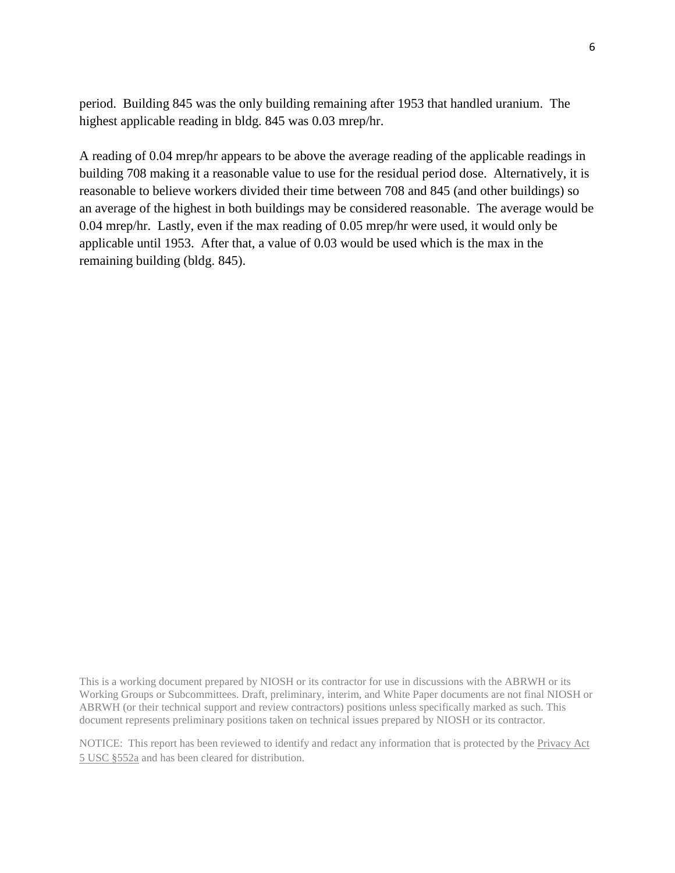period. Building 845 was the only building remaining after 1953 that handled uranium. The highest applicable reading in bldg. 845 was 0.03 mrep/hr.

A reading of 0.04 mrep/hr appears to be above the average reading of the applicable readings in building 708 making it a reasonable value to use for the residual period dose. Alternatively, it is reasonable to believe workers divided their time between 708 and 845 (and other buildings) so an average of the highest in both buildings may be considered reasonable. The average would be 0.04 mrep/hr. Lastly, even if the max reading of 0.05 mrep/hr were used, it would only be applicable until 1953. After that, a value of 0.03 would be used which is the max in the remaining building (bldg. 845).

This is a working document prepared by NIOSH or its contractor for use in discussions with the ABRWH or its Working Groups or Subcommittees. Draft, preliminary, interim, and White Paper documents are not final NIOSH or ABRWH (or their technical support and review contractors) positions unless specifically marked as such. This document represents preliminary positions taken on technical issues prepared by NIOSH or its contractor.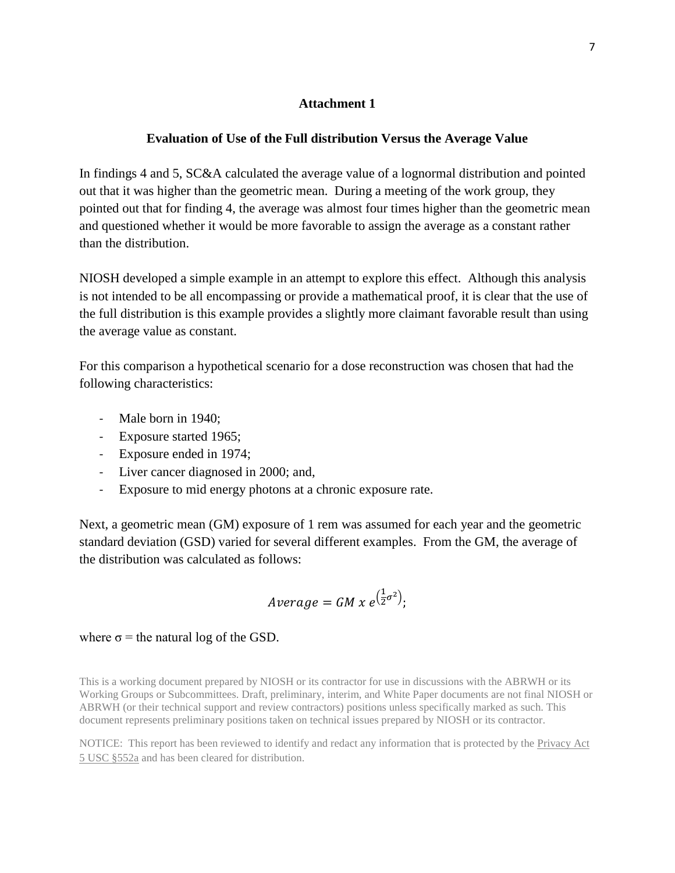#### **Attachment 1**

#### **Evaluation of Use of the Full distribution Versus the Average Value**

In findings 4 and 5, SC&A calculated the average value of a lognormal distribution and pointed out that it was higher than the geometric mean. During a meeting of the work group, they pointed out that for finding 4, the average was almost four times higher than the geometric mean and questioned whether it would be more favorable to assign the average as a constant rather than the distribution.

NIOSH developed a simple example in an attempt to explore this effect. Although this analysis is not intended to be all encompassing or provide a mathematical proof, it is clear that the use of the full distribution is this example provides a slightly more claimant favorable result than using the average value as constant.

For this comparison a hypothetical scenario for a dose reconstruction was chosen that had the following characteristics:

- Male born in 1940;
- Exposure started 1965;
- Exposure ended in 1974;
- Liver cancer diagnosed in 2000; and,
- Exposure to mid energy photons at a chronic exposure rate.

Next, a geometric mean (GM) exposure of 1 rem was assumed for each year and the geometric standard deviation (GSD) varied for several different examples. From the GM, the average of the distribution was calculated as follows:

$$
Average = GM \times e^{\left(\frac{1}{2}\sigma^2\right)};
$$

where  $\sigma$  = the natural log of the GSD.

This is a working document prepared by NIOSH or its contractor for use in discussions with the ABRWH or its Working Groups or Subcommittees. Draft, preliminary, interim, and White Paper documents are not final NIOSH or ABRWH (or their technical support and review contractors) positions unless specifically marked as such. This document represents preliminary positions taken on technical issues prepared by NIOSH or its contractor.